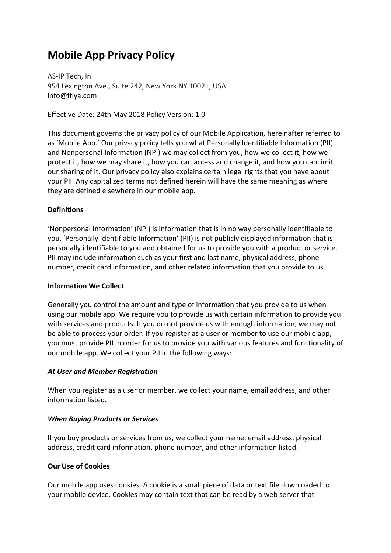# **Mobile App Privacy Policy**

AS-IP Tech, In. 954 Lexington Ave., Suite 242, New York NY 10021, USA info@fflya.com 

Effective Date: 24th May 2018 Policy Version: 1.0

This document governs the privacy policy of our Mobile Application, hereinafter referred to as 'Mobile App.' Our privacy policy tells you what Personally Identifiable Information (PII) and Nonpersonal Information (NPI) we may collect from you, how we collect it, how we protect it, how we may share it, how you can access and change it, and how you can limit our sharing of it. Our privacy policy also explains certain legal rights that you have about your PII. Any capitalized terms not defined herein will have the same meaning as where they are defined elsewhere in our mobile app.

# **Definitions**

'Nonpersonal Information' (NPI) is information that is in no way personally identifiable to you. 'Personally Identifiable Information' (PII) is not publicly displayed information that is personally identifiable to you and obtained for us to provide you with a product or service. PII may include information such as your first and last name, physical address, phone number, credit card information, and other related information that you provide to us.

## **Information We Collect**

Generally you control the amount and type of information that you provide to us when using our mobile app. We require you to provide us with certain information to provide you with services and products. If you do not provide us with enough information, we may not be able to process your order. If you register as a user or member to use our mobile app, you must provide PII in order for us to provide you with various features and functionality of our mobile app. We collect your PII in the following ways:

## *At User and Member Registration*

When you register as a user or member, we collect your name, email address, and other information listed.

## **When Buying Products or Services**

If you buy products or services from us, we collect your name, email address, physical address, credit card information, phone number, and other information listed.

# **Our Use of Cookies**

Our mobile app uses cookies. A cookie is a small piece of data or text file downloaded to your mobile device. Cookies may contain text that can be read by a web server that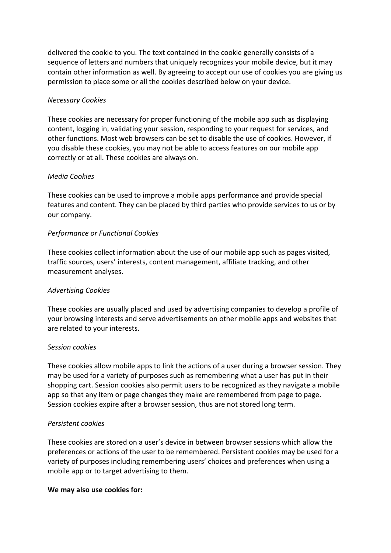delivered the cookie to you. The text contained in the cookie generally consists of a sequence of letters and numbers that uniquely recognizes your mobile device, but it may contain other information as well. By agreeing to accept our use of cookies you are giving us permission to place some or all the cookies described below on your device.

## *Necessary Cookies*

These cookies are necessary for proper functioning of the mobile app such as displaying content, logging in, validating your session, responding to your request for services, and other functions. Most web browsers can be set to disable the use of cookies. However, if you disable these cookies, you may not be able to access features on our mobile app correctly or at all. These cookies are always on.

## *Media Cookies*

These cookies can be used to improve a mobile apps performance and provide special features and content. They can be placed by third parties who provide services to us or by our company.

## *Performance or Functional Cookies*

These cookies collect information about the use of our mobile app such as pages visited, traffic sources, users' interests, content management, affiliate tracking, and other measurement analyses.

## *Advertising Cookies*

These cookies are usually placed and used by advertising companies to develop a profile of your browsing interests and serve advertisements on other mobile apps and websites that are related to your interests.

## *Session cookies*

These cookies allow mobile apps to link the actions of a user during a browser session. They may be used for a variety of purposes such as remembering what a user has put in their shopping cart. Session cookies also permit users to be recognized as they navigate a mobile app so that any item or page changes they make are remembered from page to page. Session cookies expire after a browser session, thus are not stored long term.

## **Persistent** cookies

These cookies are stored on a user's device in between browser sessions which allow the preferences or actions of the user to be remembered. Persistent cookies may be used for a variety of purposes including remembering users' choices and preferences when using a mobile app or to target advertising to them.

## We may also use cookies for: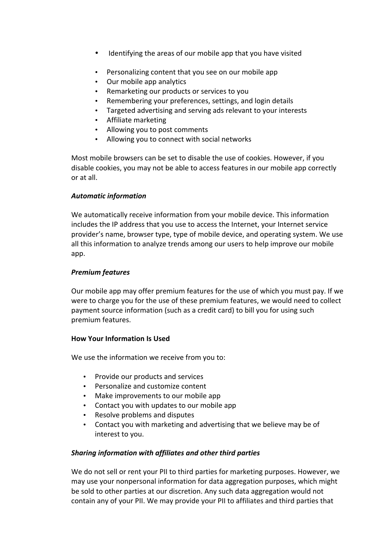- Identifying the areas of our mobile app that you have visited
- Personalizing content that you see on our mobile app
- Our mobile app analytics
- Remarketing our products or services to vou
- Remembering your preferences, settings, and login details
- Targeted advertising and serving ads relevant to your interests
- Affiliate marketing
- Allowing you to post comments
- Allowing you to connect with social networks

Most mobile browsers can be set to disable the use of cookies. However, if you disable cookies, you may not be able to access features in our mobile app correctly or at all. 

# **Automatic information**

We automatically receive information from your mobile device. This information includes the IP address that you use to access the Internet, your Internet service provider's name, browser type, type of mobile device, and operating system. We use all this information to analyze trends among our users to help improve our mobile app. 

# *Premium features*

Our mobile app may offer premium features for the use of which you must pay. If we were to charge you for the use of these premium features, we would need to collect payment source information (such as a credit card) to bill you for using such premium features. 

# **How Your Information Is Used**

We use the information we receive from you to:

- Provide our products and services
- Personalize and customize content
- Make improvements to our mobile app
- Contact you with updates to our mobile app
- Resolve problems and disputes
- Contact you with marketing and advertising that we believe may be of interest to you.

# **Sharing information with affiliates and other third parties**

We do not sell or rent your PII to third parties for marketing purposes. However, we may use your nonpersonal information for data aggregation purposes, which might be sold to other parties at our discretion. Any such data aggregation would not contain any of your PII. We may provide your PII to affiliates and third parties that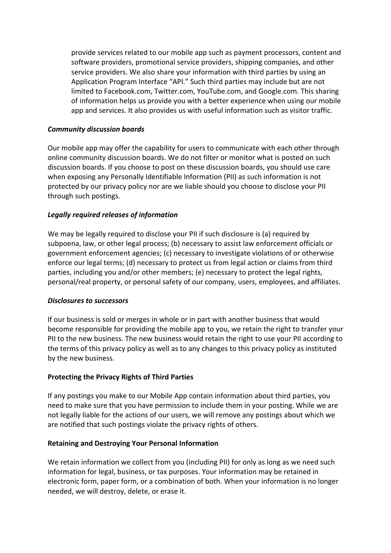provide services related to our mobile app such as payment processors, content and software providers, promotional service providers, shipping companies, and other service providers. We also share your information with third parties by using an Application Program Interface "API." Such third parties may include but are not limited to Facebook.com, Twitter.com, YouTube.com, and Google.com. This sharing of information helps us provide you with a better experience when using our mobile app and services. It also provides us with useful information such as visitor traffic.

## *Community discussion boards*

Our mobile app may offer the capability for users to communicate with each other through online community discussion boards. We do not filter or monitor what is posted on such discussion boards. If you choose to post on these discussion boards, you should use care when exposing any Personally Identifiable Information (PII) as such information is not protected by our privacy policy nor are we liable should you choose to disclose your PII through such postings.

## Legally required releases of information

We may be legally required to disclose your PII if such disclosure is (a) required by subpoena, law, or other legal process; (b) necessary to assist law enforcement officials or government enforcement agencies; (c) necessary to investigate violations of or otherwise enforce our legal terms; (d) necessary to protect us from legal action or claims from third parties, including you and/or other members; (e) necessary to protect the legal rights, personal/real property, or personal safety of our company, users, employees, and affiliates.

## **Disclosures to successors**

If our business is sold or merges in whole or in part with another business that would become responsible for providing the mobile app to you, we retain the right to transfer your PII to the new business. The new business would retain the right to use your PII according to the terms of this privacy policy as well as to any changes to this privacy policy as instituted by the new business.

# **Protecting the Privacy Rights of Third Parties**

If any postings you make to our Mobile App contain information about third parties, you need to make sure that you have permission to include them in your posting. While we are not legally liable for the actions of our users, we will remove any postings about which we are notified that such postings violate the privacy rights of others.

## **Retaining and Destroying Your Personal Information**

We retain information we collect from you (including PII) for only as long as we need such information for legal, business, or tax purposes. Your information may be retained in electronic form, paper form, or a combination of both. When your information is no longer needed, we will destroy, delete, or erase it.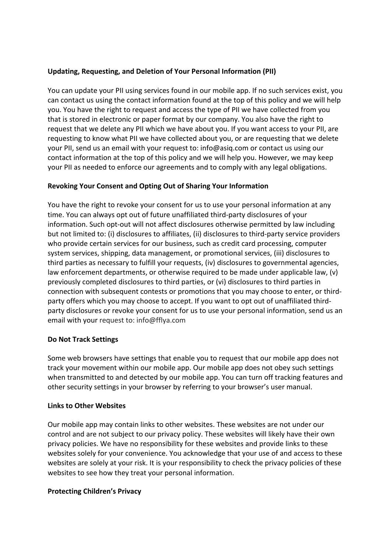# **Updating, Requesting, and Deletion of Your Personal Information (PII)**

You can update your PII using services found in our mobile app. If no such services exist, you can contact us using the contact information found at the top of this policy and we will help you. You have the right to request and access the type of PII we have collected from you that is stored in electronic or paper format by our company. You also have the right to request that we delete any PII which we have about you. If you want access to your PII, are requesting to know what PII we have collected about you, or are requesting that we delete your PII, send us an email with your request to: info@asiq.com or contact us using our contact information at the top of this policy and we will help you. However, we may keep your PII as needed to enforce our agreements and to comply with any legal obligations.

# **Revoking Your Consent and Opting Out of Sharing Your Information**

You have the right to revoke your consent for us to use your personal information at any time. You can always opt out of future unaffiliated third-party disclosures of your information. Such opt-out will not affect disclosures otherwise permitted by law including but not limited to: (i) disclosures to affiliates, (ii) disclosures to third-party service providers who provide certain services for our business, such as credit card processing, computer system services, shipping, data management, or promotional services, (iii) disclosures to third parties as necessary to fulfill your requests, (iv) disclosures to governmental agencies, law enforcement departments, or otherwise required to be made under applicable law,  $(v)$ previously completed disclosures to third parties, or (vi) disclosures to third parties in connection with subsequent contests or promotions that you may choose to enter, or thirdparty offers which you may choose to accept. If you want to opt out of unaffiliated thirdparty disclosures or revoke your consent for us to use your personal information, send us an email with your request to: info@fflya.com

# **Do Not Track Settings**

Some web browsers have settings that enable you to request that our mobile app does not track your movement within our mobile app. Our mobile app does not obey such settings when transmitted to and detected by our mobile app. You can turn off tracking features and other security settings in your browser by referring to your browser's user manual.

# **Links to Other Websites**

Our mobile app may contain links to other websites. These websites are not under our control and are not subject to our privacy policy. These websites will likely have their own privacy policies. We have no responsibility for these websites and provide links to these websites solely for your convenience. You acknowledge that your use of and access to these websites are solely at your risk. It is your responsibility to check the privacy policies of these websites to see how they treat your personal information.

# **Protecting Children's Privacy**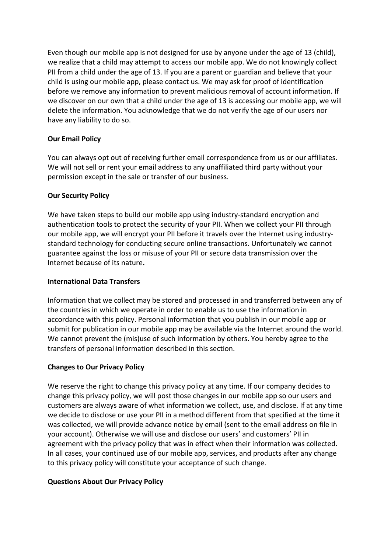Even though our mobile app is not designed for use by anyone under the age of 13 (child), we realize that a child may attempt to access our mobile app. We do not knowingly collect PII from a child under the age of 13. If you are a parent or guardian and believe that your child is using our mobile app, please contact us. We may ask for proof of identification before we remove any information to prevent malicious removal of account information. If we discover on our own that a child under the age of 13 is accessing our mobile app, we will delete the information. You acknowledge that we do not verify the age of our users nor have any liability to do so.

# **Our Email Policy**

You can always opt out of receiving further email correspondence from us or our affiliates. We will not sell or rent your email address to any unaffiliated third party without your permission except in the sale or transfer of our business.

# **Our Security Policy**

We have taken steps to build our mobile app using industry-standard encryption and authentication tools to protect the security of your PII. When we collect your PII through our mobile app, we will encrypt your PII before it travels over the Internet using industrystandard technology for conducting secure online transactions. Unfortunately we cannot guarantee against the loss or misuse of your PII or secure data transmission over the Internet because of its nature.

# **International Data Transfers**

Information that we collect may be stored and processed in and transferred between any of the countries in which we operate in order to enable us to use the information in accordance with this policy. Personal information that you publish in our mobile app or submit for publication in our mobile app may be available via the Internet around the world. We cannot prevent the (mis)use of such information by others. You hereby agree to the transfers of personal information described in this section.

# **Changes to Our Privacy Policy**

We reserve the right to change this privacy policy at any time. If our company decides to change this privacy policy, we will post those changes in our mobile app so our users and customers are always aware of what information we collect, use, and disclose. If at any time we decide to disclose or use your PII in a method different from that specified at the time it was collected, we will provide advance notice by email (sent to the email address on file in your account). Otherwise we will use and disclose our users' and customers' PII in agreement with the privacy policy that was in effect when their information was collected. In all cases, your continued use of our mobile app, services, and products after any change to this privacy policy will constitute your acceptance of such change.

# **Questions About Our Privacy Policy**